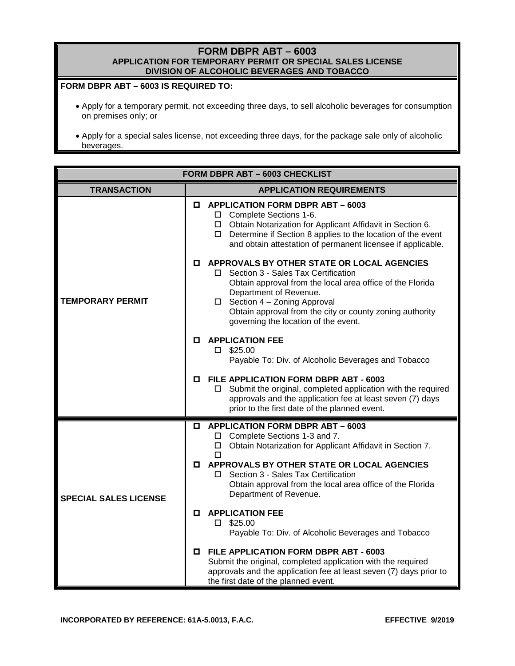# **FORM DBPR ABT – 6003 APPLICATION FOR TEMPORARY PERMIT OR SPECIAL SALES LICENSE DIVISION OF ALCOHOLIC BEVERAGES AND TOBACCO**

# **FORM DBPR ABT – 6003 IS REQUIRED TO:**

- Apply for a temporary permit, not exceeding three days, to sell alcoholic beverages for consumption on premises only; or
- Apply for a special sales license, not exceeding three days, for the package sale only of alcoholic beverages.

| FORM DBPR ABT - 6003 CHECKLIST |    |                                                                                                                                                                                                                                                                                                                    |  |  |
|--------------------------------|----|--------------------------------------------------------------------------------------------------------------------------------------------------------------------------------------------------------------------------------------------------------------------------------------------------------------------|--|--|
| <b>TRANSACTION</b>             |    | <b>APPLICATION REQUIREMENTS</b>                                                                                                                                                                                                                                                                                    |  |  |
|                                | 0. | <b>APPLICATION FORM DBPR ABT - 6003</b><br>□ Complete Sections 1-6.<br>□ Obtain Notarization for Applicant Affidavit in Section 6.<br>$\Box$ Determine if Section 8 applies to the location of the event<br>and obtain attestation of permanent licensee if applicable.                                            |  |  |
| <b>TEMPORARY PERMIT</b>        | 0  | APPROVALS BY OTHER STATE OR LOCAL AGENCIES<br>Section 3 - Sales Tax Certification<br>Obtain approval from the local area office of the Florida<br>Department of Revenue.<br>$\Box$ Section 4 - Zoning Approval<br>Obtain approval from the city or county zoning authority<br>governing the location of the event. |  |  |
|                                | 0  | <b>APPLICATION FEE</b><br>$\square$ \$25.00<br>Payable To: Div. of Alcoholic Beverages and Tobacco                                                                                                                                                                                                                 |  |  |
|                                | 0  | FILE APPLICATION FORM DBPR ABT - 6003<br>Submit the original, completed application with the required<br>□<br>approvals and the application fee at least seven (7) days<br>prior to the first date of the planned event.                                                                                           |  |  |
|                                | 0  | <b>APPLICATION FORM DBPR ABT - 6003</b><br>□ Complete Sections 1-3 and 7.<br>Obtain Notarization for Applicant Affidavit in Section 7.<br>п                                                                                                                                                                        |  |  |
| <b>SPECIAL SALES LICENSE</b>   | О. | APPROVALS BY OTHER STATE OR LOCAL AGENCIES<br>Section 3 - Sales Tax Certification<br>П<br>Obtain approval from the local area office of the Florida<br>Department of Revenue.                                                                                                                                      |  |  |
|                                | 0  | <b>APPLICATION FEE</b><br>$\square$ \$25.00<br>Payable To: Div. of Alcoholic Beverages and Tobacco                                                                                                                                                                                                                 |  |  |
|                                | 0. | <b>FILE APPLICATION FORM DBPR ABT - 6003</b><br>Submit the original, completed application with the required<br>approvals and the application fee at least seven (7) days prior to<br>the first date of the planned event.                                                                                         |  |  |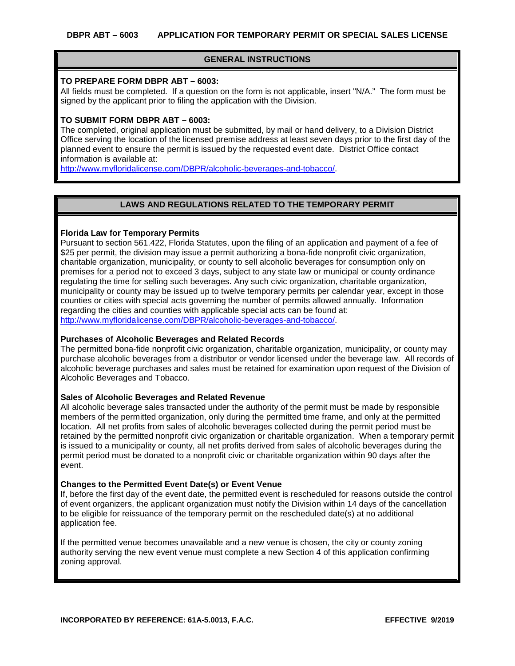## **GENERAL INSTRUCTIONS**

### **TO PREPARE FORM DBPR ABT – 6003:**

All fields must be completed. If a question on the form is not applicable, insert "N/A." The form must be signed by the applicant prior to filing the application with the Division.

## **TO SUBMIT FORM DBPR ABT – 6003:**

The completed, original application must be submitted, by mail or hand delivery, to a Division District Office serving the location of the licensed premise address at least seven days prior to the first day of the planned event to ensure the permit is issued by the requested event date. District Office contact information is available at:

[http://www.myfloridalicense.com/DBPR/alcoholic-beverages-and-tobacco/](http://www.myfloridalicense.com/DBPR/alcoholic-beverages-and-tobacco).

# **LAWS AND REGULATIONS RELATED TO THE TEMPORARY PERMIT**

## **Florida Law for Temporary Permits**

Pursuant to section 561.422, Florida Statutes, upon the filing of an application and payment of a fee of \$25 per permit, the division may issue a permit authorizing a bona-fide nonprofit civic organization, charitable organization, municipality, or county to sell alcoholic beverages for consumption only on premises for a period not to exceed 3 days, subject to any state law or municipal or county ordinance regulating the time for selling such beverages. Any such civic organization, charitable organization, municipality or county may be issued up to twelve temporary permits per calendar year, except in those counties or cities with special acts governing the number of permits allowed annually. Information regarding the cities and counties with applicable special acts can be found at: [http://www.myfloridalicense.com/DBPR/alcoholic-beverages-and-tobacco/](http://www.myfloridalicense.com/DBPR/alcoholic-beverages-and-tobacco).

#### **Purchases of Alcoholic Beverages and Related Records**

The permitted bona-fide nonprofit civic organization, charitable organization, municipality, or county may purchase alcoholic beverages from a distributor or vendor licensed under the beverage law. All records of alcoholic beverage purchases and sales must be retained for examination upon request of the Division of Alcoholic Beverages and Tobacco.

#### **Sales of Alcoholic Beverages and Related Revenue**

All alcoholic beverage sales transacted under the authority of the permit must be made by responsible members of the permitted organization, only during the permitted time frame, and only at the permitted location. All net profits from sales of alcoholic beverages collected during the permit period must be retained by the permitted nonprofit civic organization or charitable organization. When a temporary permit is issued to a municipality or county, all net profits derived from sales of alcoholic beverages during the permit period must be donated to a nonprofit civic or charitable organization within 90 days after the event.

#### **Changes to the Permitted Event Date(s) or Event Venue**

If, before the first day of the event date, the permitted event is rescheduled for reasons outside the control of event organizers, the applicant organization must notify the Division within 14 days of the cancellation to be eligible for reissuance of the temporary permit on the rescheduled date(s) at no additional application fee.

If the permitted venue becomes unavailable and a new venue is chosen, the city or county zoning authority serving the new event venue must complete a new Section 4 of this application confirming zoning approval.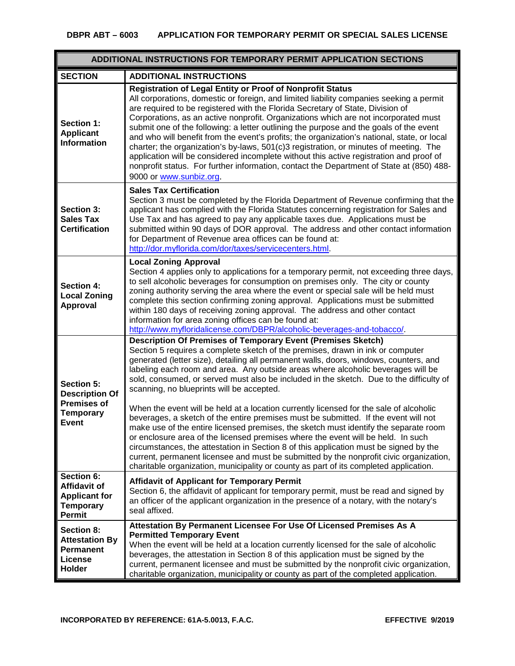# **DBPR ABT – 6003 APPLICATION FOR TEMPORARY PERMIT OR SPECIAL SALES LICENSE**

| ADDITIONAL INSTRUCTIONS FOR TEMPORARY PERMIT APPLICATION SECTIONS                             |                                                                                                                                                                                                                                                                                                                                                                                                                                                                                                                                                                                                                                                                                                                                                                                                                                                                                                                                                                                                                                                                                                                     |  |  |
|-----------------------------------------------------------------------------------------------|---------------------------------------------------------------------------------------------------------------------------------------------------------------------------------------------------------------------------------------------------------------------------------------------------------------------------------------------------------------------------------------------------------------------------------------------------------------------------------------------------------------------------------------------------------------------------------------------------------------------------------------------------------------------------------------------------------------------------------------------------------------------------------------------------------------------------------------------------------------------------------------------------------------------------------------------------------------------------------------------------------------------------------------------------------------------------------------------------------------------|--|--|
| <b>SECTION</b>                                                                                | <b>ADDITIONAL INSTRUCTIONS</b>                                                                                                                                                                                                                                                                                                                                                                                                                                                                                                                                                                                                                                                                                                                                                                                                                                                                                                                                                                                                                                                                                      |  |  |
| Section 1:<br><b>Applicant</b><br><b>Information</b>                                          | Registration of Legal Entity or Proof of Nonprofit Status<br>All corporations, domestic or foreign, and limited liability companies seeking a permit<br>are required to be registered with the Florida Secretary of State, Division of<br>Corporations, as an active nonprofit. Organizations which are not incorporated must<br>submit one of the following: a letter outlining the purpose and the goals of the event<br>and who will benefit from the event's profits; the organization's national, state, or local<br>charter; the organization's by-laws, 501(c)3 registration, or minutes of meeting. The<br>application will be considered incomplete without this active registration and proof of<br>nonprofit status. For further information, contact the Department of State at (850) 488-<br>9000 or www.sunbiz.org.                                                                                                                                                                                                                                                                                   |  |  |
| <b>Section 3:</b><br><b>Sales Tax</b><br><b>Certification</b>                                 | <b>Sales Tax Certification</b><br>Section 3 must be completed by the Florida Department of Revenue confirming that the<br>applicant has complied with the Florida Statutes concerning registration for Sales and<br>Use Tax and has agreed to pay any applicable taxes due. Applications must be<br>submitted within 90 days of DOR approval. The address and other contact information<br>for Department of Revenue area offices can be found at:<br>http://dor.myflorida.com/dor/taxes/servicecenters.html.                                                                                                                                                                                                                                                                                                                                                                                                                                                                                                                                                                                                       |  |  |
| <b>Section 4:</b><br><b>Local Zoning</b><br>Approval                                          | <b>Local Zoning Approval</b><br>Section 4 applies only to applications for a temporary permit, not exceeding three days,<br>to sell alcoholic beverages for consumption on premises only. The city or county<br>zoning authority serving the area where the event or special sale will be held must<br>complete this section confirming zoning approval. Applications must be submitted<br>within 180 days of receiving zoning approval. The address and other contact<br>information for area zoning offices can be found at:<br>http://www.myfloridalicense.com/DBPR/alcoholic-beverages-and-tobacco/.                                                                                                                                                                                                                                                                                                                                                                                                                                                                                                            |  |  |
| Section 5:<br><b>Description Of</b><br><b>Premises of</b><br><b>Temporary</b><br><b>Event</b> | <b>Description Of Premises of Temporary Event (Premises Sketch)</b><br>Section 5 requires a complete sketch of the premises, drawn in ink or computer<br>generated (letter size), detailing all permanent walls, doors, windows, counters, and<br>labeling each room and area. Any outside areas where alcoholic beverages will be<br>sold, consumed, or served must also be included in the sketch. Due to the difficulty of<br>scanning, no blueprints will be accepted.<br>When the event will be held at a location currently licensed for the sale of alcoholic<br>beverages, a sketch of the entire premises must be submitted. If the event will not<br>make use of the entire licensed premises, the sketch must identify the separate room<br>or enclosure area of the licensed premises where the event will be held. In such<br>circumstances, the attestation in Section 8 of this application must be signed by the<br>current, permanent licensee and must be submitted by the nonprofit civic organization,<br>charitable organization, municipality or county as part of its completed application. |  |  |
| Section 6:<br>Affidavit of<br><b>Applicant for</b><br><b>Temporary</b><br><b>Permit</b>       | <b>Affidavit of Applicant for Temporary Permit</b><br>Section 6, the affidavit of applicant for temporary permit, must be read and signed by<br>an officer of the applicant organization in the presence of a notary, with the notary's<br>seal affixed.                                                                                                                                                                                                                                                                                                                                                                                                                                                                                                                                                                                                                                                                                                                                                                                                                                                            |  |  |
| Section 8:<br><b>Attestation By</b><br><b>Permanent</b><br><b>License</b><br>Holder           | Attestation By Permanent Licensee For Use Of Licensed Premises As A<br><b>Permitted Temporary Event</b><br>When the event will be held at a location currently licensed for the sale of alcoholic<br>beverages, the attestation in Section 8 of this application must be signed by the<br>current, permanent licensee and must be submitted by the nonprofit civic organization,<br>charitable organization, municipality or county as part of the completed application.                                                                                                                                                                                                                                                                                                                                                                                                                                                                                                                                                                                                                                           |  |  |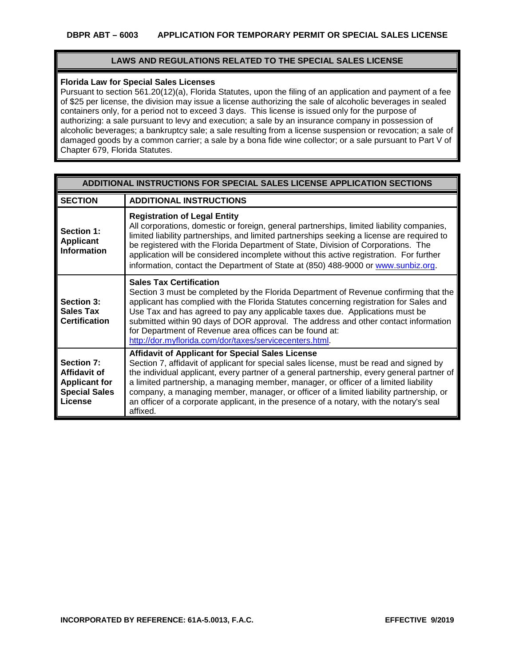## **LAWS AND REGULATIONS RELATED TO THE SPECIAL SALES LICENSE**

### **Florida Law for Special Sales Licenses**

Pursuant to section 561.20(12)(a), Florida Statutes, upon the filing of an application and payment of a fee of \$25 per license, the division may issue a license authorizing the sale of alcoholic beverages in sealed containers only, for a period not to exceed 3 days. This license is issued only for the purpose of authorizing: a sale pursuant to levy and execution; a sale by an insurance company in possession of alcoholic beverages; a bankruptcy sale; a sale resulting from a license suspension or revocation; a sale of damaged goods by a common carrier; a sale by a bona fide wine collector; or a sale pursuant to Part V of Chapter 679, Florida Statutes.

| ADDITIONAL INSTRUCTIONS FOR SPECIAL SALES LICENSE APPLICATION SECTIONS                |                                                                                                                                                                                                                                                                                                                                                                                                                                                                                                                                            |  |  |  |
|---------------------------------------------------------------------------------------|--------------------------------------------------------------------------------------------------------------------------------------------------------------------------------------------------------------------------------------------------------------------------------------------------------------------------------------------------------------------------------------------------------------------------------------------------------------------------------------------------------------------------------------------|--|--|--|
| <b>SECTION</b>                                                                        | <b>ADDITIONAL INSTRUCTIONS</b>                                                                                                                                                                                                                                                                                                                                                                                                                                                                                                             |  |  |  |
| Section 1:<br><b>Applicant</b><br><b>Information</b>                                  | <b>Registration of Legal Entity</b><br>All corporations, domestic or foreign, general partnerships, limited liability companies,<br>limited liability partnerships, and limited partnerships seeking a license are required to<br>be registered with the Florida Department of State, Division of Corporations. The<br>application will be considered incomplete without this active registration. For further<br>information, contact the Department of State at (850) 488-9000 or www.sunbiz.org.                                        |  |  |  |
| Section 3:<br><b>Sales Tax</b><br><b>Certification</b>                                | <b>Sales Tax Certification</b><br>Section 3 must be completed by the Florida Department of Revenue confirming that the<br>applicant has complied with the Florida Statutes concerning registration for Sales and<br>Use Tax and has agreed to pay any applicable taxes due. Applications must be<br>submitted within 90 days of DOR approval. The address and other contact information<br>for Department of Revenue area offices can be found at:<br>http://dor.myflorida.com/dor/taxes/servicecenters.html.                              |  |  |  |
| Section 7:<br>Affidavit of<br><b>Applicant for</b><br><b>Special Sales</b><br>License | <b>Affidavit of Applicant for Special Sales License</b><br>Section 7, affidavit of applicant for special sales license, must be read and signed by<br>the individual applicant, every partner of a general partnership, every general partner of<br>a limited partnership, a managing member, manager, or officer of a limited liability<br>company, a managing member, manager, or officer of a limited liability partnership, or<br>an officer of a corporate applicant, in the presence of a notary, with the notary's seal<br>affixed. |  |  |  |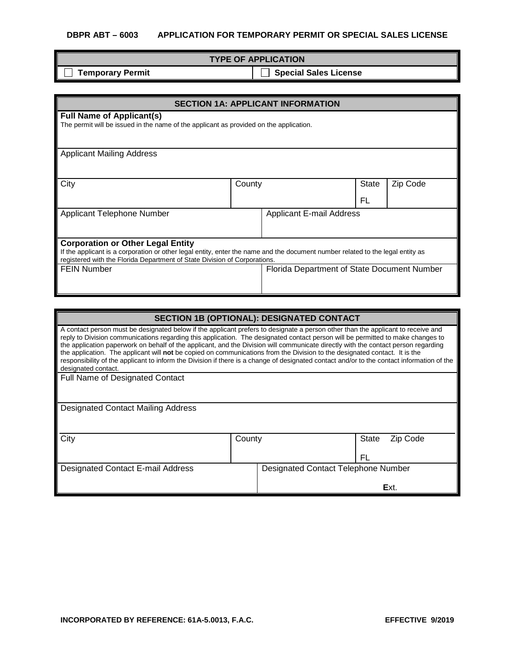# **DBPR ABT – 6003 APPLICATION FOR TEMPORARY PERMIT OR SPECIAL SALES LICENSE**

| <b>TYPE OF APPLICATION</b> |                       |  |  |
|----------------------------|-----------------------|--|--|
| <b>_∣ Temporary Permit</b> | Special Sales License |  |  |

| <b>SECTION 1A: APPLICANT INFORMATION</b>                                                                                                                                                                                                                |                                 |                                             |       |          |
|---------------------------------------------------------------------------------------------------------------------------------------------------------------------------------------------------------------------------------------------------------|---------------------------------|---------------------------------------------|-------|----------|
| <b>Full Name of Applicant(s)</b><br>The permit will be issued in the name of the applicant as provided on the application.                                                                                                                              |                                 |                                             |       |          |
| <b>Applicant Mailing Address</b>                                                                                                                                                                                                                        |                                 |                                             |       |          |
| City                                                                                                                                                                                                                                                    | County                          |                                             | State | Zip Code |
|                                                                                                                                                                                                                                                         |                                 |                                             | FL    |          |
| Applicant Telephone Number                                                                                                                                                                                                                              | <b>Applicant E-mail Address</b> |                                             |       |          |
| <b>Corporation or Other Legal Entity</b><br>If the applicant is a corporation or other legal entity, enter the name and the document number related to the legal entity as<br>registered with the Florida Department of State Division of Corporations. |                                 |                                             |       |          |
| <b>FEIN Number</b>                                                                                                                                                                                                                                      |                                 | Florida Department of State Document Number |       |          |

| SECTION 1B (OPTIONAL): DESIGNATED CONTACT                                                                                                                                                                                                                                                                                                                                                                                                                                                                                                                                                                                                                                                                    |        |                                            |              |          |
|--------------------------------------------------------------------------------------------------------------------------------------------------------------------------------------------------------------------------------------------------------------------------------------------------------------------------------------------------------------------------------------------------------------------------------------------------------------------------------------------------------------------------------------------------------------------------------------------------------------------------------------------------------------------------------------------------------------|--------|--------------------------------------------|--------------|----------|
| A contact person must be designated below if the applicant prefers to designate a person other than the applicant to receive and<br>reply to Division communications regarding this application. The designated contact person will be permitted to make changes to<br>the application paperwork on behalf of the applicant, and the Division will communicate directly with the contact person regarding<br>the application. The applicant will not be copied on communications from the Division to the designated contact. It is the<br>responsibility of the applicant to inform the Division if there is a change of designated contact and/or to the contact information of the<br>designated contact. |        |                                            |              |          |
| <b>Full Name of Designated Contact</b>                                                                                                                                                                                                                                                                                                                                                                                                                                                                                                                                                                                                                                                                       |        |                                            |              |          |
|                                                                                                                                                                                                                                                                                                                                                                                                                                                                                                                                                                                                                                                                                                              |        |                                            |              |          |
| <b>Designated Contact Mailing Address</b>                                                                                                                                                                                                                                                                                                                                                                                                                                                                                                                                                                                                                                                                    |        |                                            |              |          |
| City                                                                                                                                                                                                                                                                                                                                                                                                                                                                                                                                                                                                                                                                                                         | County |                                            | <b>State</b> | Zip Code |
|                                                                                                                                                                                                                                                                                                                                                                                                                                                                                                                                                                                                                                                                                                              |        |                                            | FL           |          |
| <b>Designated Contact E-mail Address</b>                                                                                                                                                                                                                                                                                                                                                                                                                                                                                                                                                                                                                                                                     |        | <b>Designated Contact Telephone Number</b> |              |          |
|                                                                                                                                                                                                                                                                                                                                                                                                                                                                                                                                                                                                                                                                                                              |        |                                            |              | Ext.     |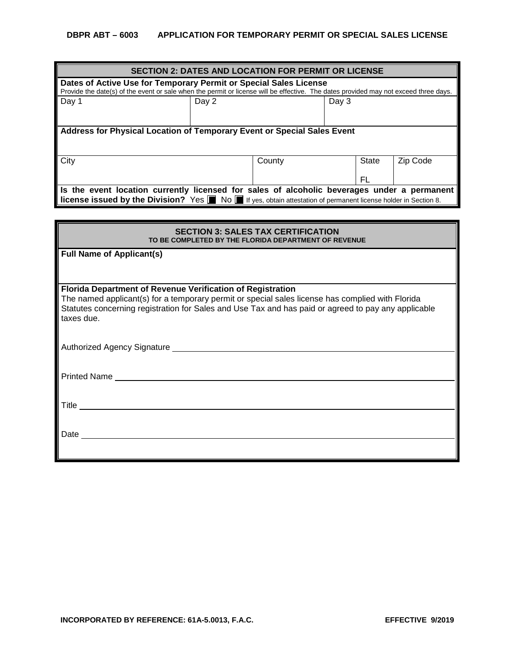| <b>SECTION 2: DATES AND LOCATION FOR PERMIT OR LICENSE</b>                                                                                                                                                                                      |  |        |  |             |          |
|-------------------------------------------------------------------------------------------------------------------------------------------------------------------------------------------------------------------------------------------------|--|--------|--|-------------|----------|
| Dates of Active Use for Temporary Permit or Special Sales License<br>Provide the date(s) of the event or sale when the permit or license will be effective. The dates provided may not exceed three days.                                       |  |        |  |             |          |
| Day 1<br>Day $3$<br>Day 2                                                                                                                                                                                                                       |  |        |  |             |          |
| Address for Physical Location of Temporary Event or Special Sales Event                                                                                                                                                                         |  |        |  |             |          |
| City                                                                                                                                                                                                                                            |  | County |  | State<br>FL | Zip Code |
| Is the event location currently licensed for sales of alcoholic beverages under a permanent<br><b>license issued by the Division?</b> Yes $\blacksquare$ No $\blacksquare$ If yes, obtain attestation of permanent license holder in Section 8. |  |        |  |             |          |

| <b>SECTION 3: SALES TAX CERTIFICATION</b>                                                           |  |  |  |  |
|-----------------------------------------------------------------------------------------------------|--|--|--|--|
| TO BE COMPLETED BY THE FLORIDA DEPARTMENT OF REVENUE                                                |  |  |  |  |
| <b>Full Name of Applicant(s)</b>                                                                    |  |  |  |  |
|                                                                                                     |  |  |  |  |
|                                                                                                     |  |  |  |  |
| <b>Florida Department of Revenue Verification of Registration</b>                                   |  |  |  |  |
| The named applicant(s) for a temporary permit or special sales license has complied with Florida    |  |  |  |  |
| Statutes concerning registration for Sales and Use Tax and has paid or agreed to pay any applicable |  |  |  |  |
| taxes due.                                                                                          |  |  |  |  |
|                                                                                                     |  |  |  |  |
| Authorized Agency Signature <b>Authorized</b> Agency Signature                                      |  |  |  |  |
|                                                                                                     |  |  |  |  |
|                                                                                                     |  |  |  |  |
| Printed Name ______________________                                                                 |  |  |  |  |
|                                                                                                     |  |  |  |  |
|                                                                                                     |  |  |  |  |
|                                                                                                     |  |  |  |  |
|                                                                                                     |  |  |  |  |
| Date                                                                                                |  |  |  |  |
|                                                                                                     |  |  |  |  |
|                                                                                                     |  |  |  |  |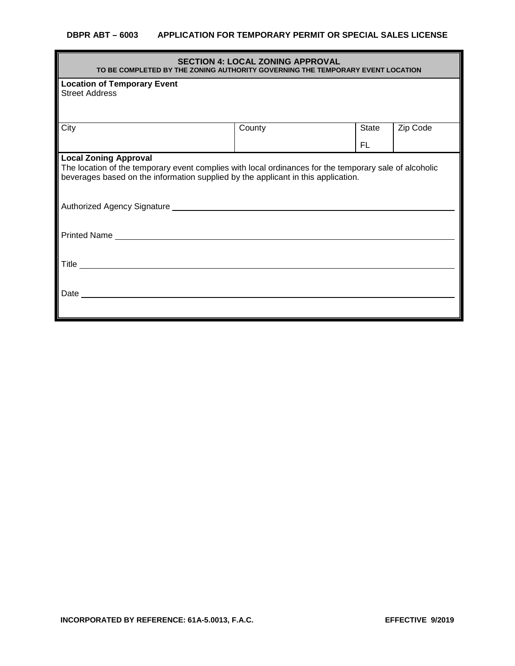## **DBPR ABT – 6003 APPLICATION FOR TEMPORARY PERMIT OR SPECIAL SALES LICENSE**

| <b>SECTION 4: LOCAL ZONING APPROVAL</b><br>TO BE COMPLETED BY THE ZONING AUTHORITY GOVERNING THE TEMPORARY EVENT LOCATION                                                                                                   |        |       |          |  |  |
|-----------------------------------------------------------------------------------------------------------------------------------------------------------------------------------------------------------------------------|--------|-------|----------|--|--|
| <b>Location of Temporary Event</b><br><b>Street Address</b>                                                                                                                                                                 |        |       |          |  |  |
| City                                                                                                                                                                                                                        | County | State | Zip Code |  |  |
|                                                                                                                                                                                                                             |        | FL    |          |  |  |
| <b>Local Zoning Approval</b><br>The location of the temporary event complies with local ordinances for the temporary sale of alcoholic<br>beverages based on the information supplied by the applicant in this application. |        |       |          |  |  |
|                                                                                                                                                                                                                             |        |       |          |  |  |
|                                                                                                                                                                                                                             |        |       |          |  |  |
|                                                                                                                                                                                                                             |        |       |          |  |  |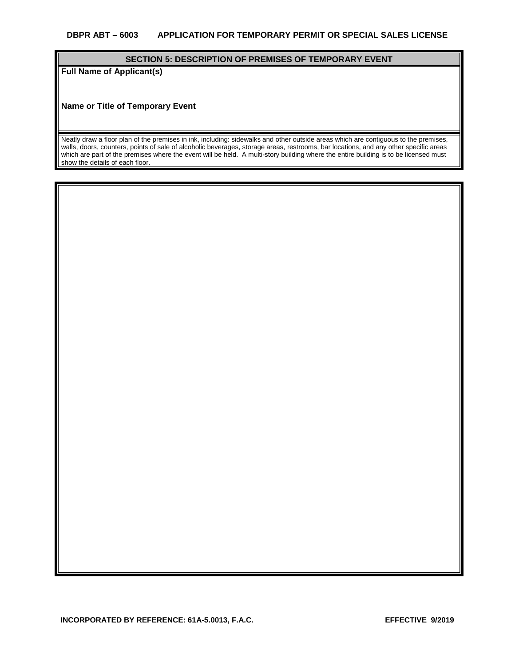### **SECTION 5: DESCRIPTION OF PREMISES OF TEMPORARY EVENT**

**Full Name of Applicant(s)**

**Name or Title of Temporary Event**

Neatly draw a floor plan of the premises in ink, including: sidewalks and other outside areas which are contiguous to the premises, walls, doors, counters, points of sale of alcoholic beverages, storage areas, restrooms, bar locations, and any other specific areas which are part of the premises where the event will be held. A multi-story building where the entire building is to be licensed must show the details of each floor.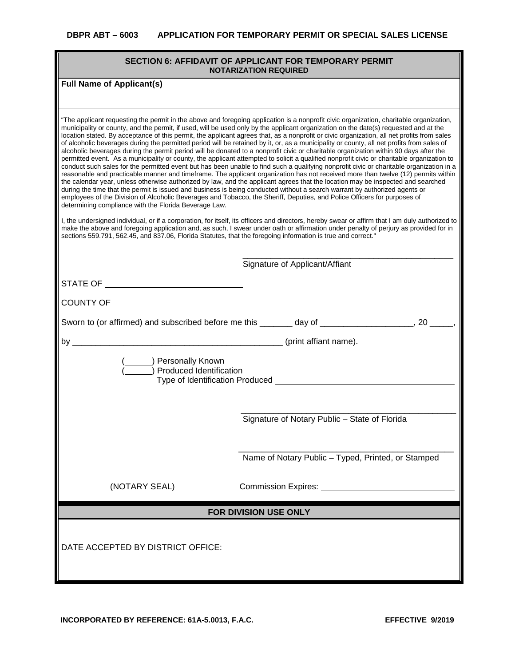## **SECTION 6: AFFIDAVIT OF APPLICANT FOR TEMPORARY PERMIT NOTARIZATION REQUIRED**

# **Full Name of Applicant(s)**

| "The applicant requesting the permit in the above and foregoing application is a nonprofit civic organization, charitable organization,<br>municipality or county, and the permit, if used, will be used only by the applicant organization on the date(s) requested and at the<br>location stated. By acceptance of this permit, the applicant agrees that, as a nonprofit or civic organization, all net profits from sales<br>of alcoholic beverages during the permitted period will be retained by it, or, as a municipality or county, all net profits from sales of<br>alcoholic beverages during the permit period will be donated to a nonprofit civic or charitable organization within 90 days after the<br>permitted event. As a municipality or county, the applicant attempted to solicit a qualified nonprofit civic or charitable organization to<br>conduct such sales for the permitted event but has been unable to find such a qualifying nonprofit civic or charitable organization in a<br>reasonable and practicable manner and timeframe. The applicant organization has not received more than twelve (12) permits within<br>the calendar year, unless otherwise authorized by law, and the applicant agrees that the location may be inspected and searched<br>during the time that the permit is issued and business is being conducted without a search warrant by authorized agents or<br>employees of the Division of Alcoholic Beverages and Tobacco, the Sheriff, Deputies, and Police Officers for purposes of<br>determining compliance with the Florida Beverage Law.<br>I, the undersigned individual, or if a corporation, for itself, its officers and directors, hereby swear or affirm that I am duly authorized to<br>make the above and foregoing application and, as such, I swear under oath or affirmation under penalty of perjury as provided for in |                                                                                                     |  |  |  |
|-----------------------------------------------------------------------------------------------------------------------------------------------------------------------------------------------------------------------------------------------------------------------------------------------------------------------------------------------------------------------------------------------------------------------------------------------------------------------------------------------------------------------------------------------------------------------------------------------------------------------------------------------------------------------------------------------------------------------------------------------------------------------------------------------------------------------------------------------------------------------------------------------------------------------------------------------------------------------------------------------------------------------------------------------------------------------------------------------------------------------------------------------------------------------------------------------------------------------------------------------------------------------------------------------------------------------------------------------------------------------------------------------------------------------------------------------------------------------------------------------------------------------------------------------------------------------------------------------------------------------------------------------------------------------------------------------------------------------------------------------------------------------------------------------------------------------------------------------------------------------------------------------------|-----------------------------------------------------------------------------------------------------|--|--|--|
| sections 559.791, 562.45, and 837.06, Florida Statutes, that the foregoing information is true and correct."                                                                                                                                                                                                                                                                                                                                                                                                                                                                                                                                                                                                                                                                                                                                                                                                                                                                                                                                                                                                                                                                                                                                                                                                                                                                                                                                                                                                                                                                                                                                                                                                                                                                                                                                                                                        |                                                                                                     |  |  |  |
|                                                                                                                                                                                                                                                                                                                                                                                                                                                                                                                                                                                                                                                                                                                                                                                                                                                                                                                                                                                                                                                                                                                                                                                                                                                                                                                                                                                                                                                                                                                                                                                                                                                                                                                                                                                                                                                                                                     | Signature of Applicant/Affiant                                                                      |  |  |  |
| STATE OF ________________________________                                                                                                                                                                                                                                                                                                                                                                                                                                                                                                                                                                                                                                                                                                                                                                                                                                                                                                                                                                                                                                                                                                                                                                                                                                                                                                                                                                                                                                                                                                                                                                                                                                                                                                                                                                                                                                                           |                                                                                                     |  |  |  |
|                                                                                                                                                                                                                                                                                                                                                                                                                                                                                                                                                                                                                                                                                                                                                                                                                                                                                                                                                                                                                                                                                                                                                                                                                                                                                                                                                                                                                                                                                                                                                                                                                                                                                                                                                                                                                                                                                                     |                                                                                                     |  |  |  |
| COUNTY OF _______________________________                                                                                                                                                                                                                                                                                                                                                                                                                                                                                                                                                                                                                                                                                                                                                                                                                                                                                                                                                                                                                                                                                                                                                                                                                                                                                                                                                                                                                                                                                                                                                                                                                                                                                                                                                                                                                                                           |                                                                                                     |  |  |  |
|                                                                                                                                                                                                                                                                                                                                                                                                                                                                                                                                                                                                                                                                                                                                                                                                                                                                                                                                                                                                                                                                                                                                                                                                                                                                                                                                                                                                                                                                                                                                                                                                                                                                                                                                                                                                                                                                                                     | Sworn to (or affirmed) and subscribed before me this _______ day of ____________________, 20 _____, |  |  |  |
|                                                                                                                                                                                                                                                                                                                                                                                                                                                                                                                                                                                                                                                                                                                                                                                                                                                                                                                                                                                                                                                                                                                                                                                                                                                                                                                                                                                                                                                                                                                                                                                                                                                                                                                                                                                                                                                                                                     |                                                                                                     |  |  |  |
| ( ( ) Personally Known<br>( ) Produced Identification                                                                                                                                                                                                                                                                                                                                                                                                                                                                                                                                                                                                                                                                                                                                                                                                                                                                                                                                                                                                                                                                                                                                                                                                                                                                                                                                                                                                                                                                                                                                                                                                                                                                                                                                                                                                                                               |                                                                                                     |  |  |  |
|                                                                                                                                                                                                                                                                                                                                                                                                                                                                                                                                                                                                                                                                                                                                                                                                                                                                                                                                                                                                                                                                                                                                                                                                                                                                                                                                                                                                                                                                                                                                                                                                                                                                                                                                                                                                                                                                                                     | Signature of Notary Public - State of Florida                                                       |  |  |  |
|                                                                                                                                                                                                                                                                                                                                                                                                                                                                                                                                                                                                                                                                                                                                                                                                                                                                                                                                                                                                                                                                                                                                                                                                                                                                                                                                                                                                                                                                                                                                                                                                                                                                                                                                                                                                                                                                                                     |                                                                                                     |  |  |  |
|                                                                                                                                                                                                                                                                                                                                                                                                                                                                                                                                                                                                                                                                                                                                                                                                                                                                                                                                                                                                                                                                                                                                                                                                                                                                                                                                                                                                                                                                                                                                                                                                                                                                                                                                                                                                                                                                                                     | Name of Notary Public - Typed, Printed, or Stamped                                                  |  |  |  |
| (NOTARY SEAL)                                                                                                                                                                                                                                                                                                                                                                                                                                                                                                                                                                                                                                                                                                                                                                                                                                                                                                                                                                                                                                                                                                                                                                                                                                                                                                                                                                                                                                                                                                                                                                                                                                                                                                                                                                                                                                                                                       | Commission Expires: National Accounts of the Commission Expires:                                    |  |  |  |
|                                                                                                                                                                                                                                                                                                                                                                                                                                                                                                                                                                                                                                                                                                                                                                                                                                                                                                                                                                                                                                                                                                                                                                                                                                                                                                                                                                                                                                                                                                                                                                                                                                                                                                                                                                                                                                                                                                     | FOR DIVISION USE ONLY                                                                               |  |  |  |
| DATE ACCEPTED BY DISTRICT OFFICE:                                                                                                                                                                                                                                                                                                                                                                                                                                                                                                                                                                                                                                                                                                                                                                                                                                                                                                                                                                                                                                                                                                                                                                                                                                                                                                                                                                                                                                                                                                                                                                                                                                                                                                                                                                                                                                                                   |                                                                                                     |  |  |  |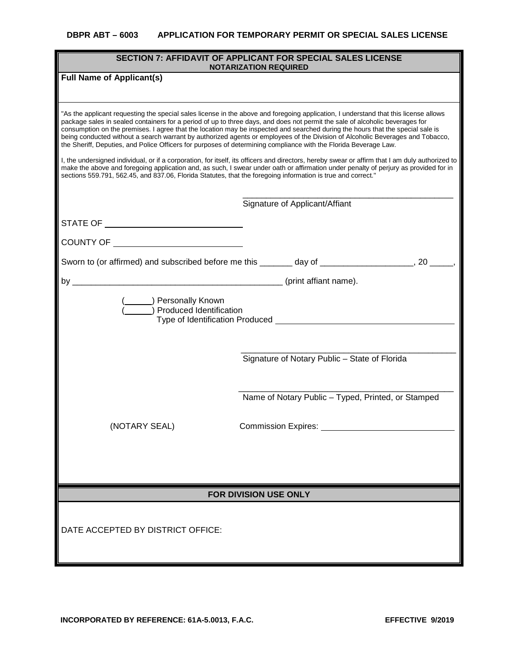| <b>SECTION 7: AFFIDAVIT OF APPLICANT FOR SPECIAL SALES LICENSE</b><br><b>NOTARIZATION REQUIRED</b>                                                                                                                                                                                                                                                                                                                                                                                                                                                                                                                                                           |                                                                                                                                                                                                                                                                                         |  |  |  |
|--------------------------------------------------------------------------------------------------------------------------------------------------------------------------------------------------------------------------------------------------------------------------------------------------------------------------------------------------------------------------------------------------------------------------------------------------------------------------------------------------------------------------------------------------------------------------------------------------------------------------------------------------------------|-----------------------------------------------------------------------------------------------------------------------------------------------------------------------------------------------------------------------------------------------------------------------------------------|--|--|--|
| <b>Full Name of Applicant(s)</b>                                                                                                                                                                                                                                                                                                                                                                                                                                                                                                                                                                                                                             |                                                                                                                                                                                                                                                                                         |  |  |  |
|                                                                                                                                                                                                                                                                                                                                                                                                                                                                                                                                                                                                                                                              |                                                                                                                                                                                                                                                                                         |  |  |  |
| "As the applicant requesting the special sales license in the above and foregoing application, I understand that this license allows<br>package sales in sealed containers for a period of up to three days, and does not permit the sale of alcoholic beverages for<br>consumption on the premises. I agree that the location may be inspected and searched during the hours that the special sale is<br>being conducted without a search warrant by authorized agents or employees of the Division of Alcoholic Beverages and Tobacco,<br>the Sheriff, Deputies, and Police Officers for purposes of determining compliance with the Florida Beverage Law. |                                                                                                                                                                                                                                                                                         |  |  |  |
| sections 559.791, 562.45, and 837.06, Florida Statutes, that the foregoing information is true and correct."                                                                                                                                                                                                                                                                                                                                                                                                                                                                                                                                                 | I, the undersigned individual, or if a corporation, for itself, its officers and directors, hereby swear or affirm that I am duly authorized to<br>make the above and foregoing application and, as such, I swear under oath or affirmation under penalty of perjury as provided for in |  |  |  |
|                                                                                                                                                                                                                                                                                                                                                                                                                                                                                                                                                                                                                                                              | Signature of Applicant/Affiant                                                                                                                                                                                                                                                          |  |  |  |
| STATE OF ________________________________                                                                                                                                                                                                                                                                                                                                                                                                                                                                                                                                                                                                                    |                                                                                                                                                                                                                                                                                         |  |  |  |
| COUNTY OF ________________________________                                                                                                                                                                                                                                                                                                                                                                                                                                                                                                                                                                                                                   |                                                                                                                                                                                                                                                                                         |  |  |  |
|                                                                                                                                                                                                                                                                                                                                                                                                                                                                                                                                                                                                                                                              | Sworn to (or affirmed) and subscribed before me this _______ day of ____________________, 20 _____,                                                                                                                                                                                     |  |  |  |
|                                                                                                                                                                                                                                                                                                                                                                                                                                                                                                                                                                                                                                                              |                                                                                                                                                                                                                                                                                         |  |  |  |
| Personally Known<br>) Produced Identification                                                                                                                                                                                                                                                                                                                                                                                                                                                                                                                                                                                                                |                                                                                                                                                                                                                                                                                         |  |  |  |
|                                                                                                                                                                                                                                                                                                                                                                                                                                                                                                                                                                                                                                                              | Signature of Notary Public - State of Florida                                                                                                                                                                                                                                           |  |  |  |
|                                                                                                                                                                                                                                                                                                                                                                                                                                                                                                                                                                                                                                                              |                                                                                                                                                                                                                                                                                         |  |  |  |
|                                                                                                                                                                                                                                                                                                                                                                                                                                                                                                                                                                                                                                                              | Name of Notary Public - Typed, Printed, or Stamped                                                                                                                                                                                                                                      |  |  |  |
| (NOTARY SEAL)                                                                                                                                                                                                                                                                                                                                                                                                                                                                                                                                                                                                                                                | Commission Expires:                                                                                                                                                                                                                                                                     |  |  |  |
|                                                                                                                                                                                                                                                                                                                                                                                                                                                                                                                                                                                                                                                              |                                                                                                                                                                                                                                                                                         |  |  |  |
|                                                                                                                                                                                                                                                                                                                                                                                                                                                                                                                                                                                                                                                              |                                                                                                                                                                                                                                                                                         |  |  |  |
|                                                                                                                                                                                                                                                                                                                                                                                                                                                                                                                                                                                                                                                              |                                                                                                                                                                                                                                                                                         |  |  |  |
|                                                                                                                                                                                                                                                                                                                                                                                                                                                                                                                                                                                                                                                              | FOR DIVISION USE ONLY                                                                                                                                                                                                                                                                   |  |  |  |
| DATE ACCEPTED BY DISTRICT OFFICE:                                                                                                                                                                                                                                                                                                                                                                                                                                                                                                                                                                                                                            |                                                                                                                                                                                                                                                                                         |  |  |  |
|                                                                                                                                                                                                                                                                                                                                                                                                                                                                                                                                                                                                                                                              |                                                                                                                                                                                                                                                                                         |  |  |  |